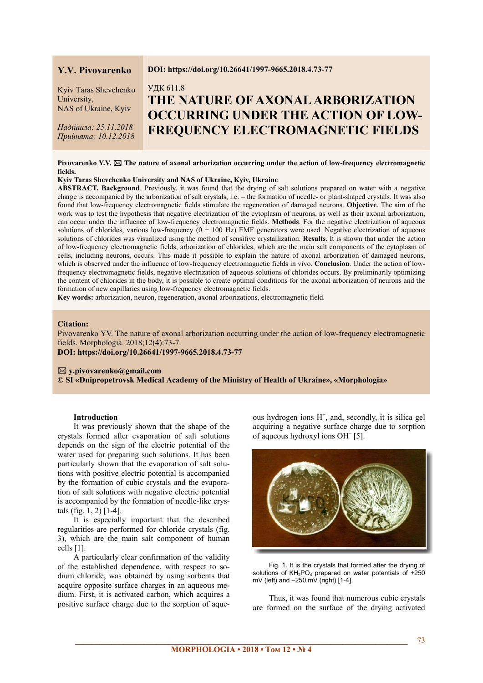# **Y.V. Pivovarenko**

Kyiv Taras Shevchenko University, NAS of Ukraine, Kyiv

*Надійшла: 25.11.2018 Прийнята: 10.12.2018* 

#### **DOI: https://doi.org/10.26641/1997-9665.2018.4.73-77**

# УДК 611.8 **THE NATURE OF AXONAL ARBORIZATION OCCURRING UNDER THE ACTION OF LOW-FREQUENCY ELECTROMAGNETIC FIELDS**

# Pivovarenko Y.V.  $\boxtimes$  The nature of axonal arborization occurring under the action of low-frequency electromagnetic **fields.**

#### **Kyiv Taras Shevchenko University and NAS of Ukraine, Kyiv, Ukraine**

**ABSTRACT. Background**. Previously, it was found that the drying of salt solutions prepared on water with a negative charge is accompanied by the arborization of salt crystals, i.e. – the formation of needle- or plant-shaped crystals. It was also found that low-frequency electromagnetic fields stimulate the regeneration of damaged neurons. **Objective**. The aim of the work was to test the hypothesis that negative electrization of the cytoplasm of neurons, as well as their axonal arborization, can occur under the influence of low-frequency electromagnetic fields. **Methods**. For the negative electrization of aqueous solutions of chlorides, various low-frequency  $(0 - 100 \text{ Hz})$  EMF generators were used. Negative electrization of aqueous solutions of chlorides was visualized using the method of sensitive crystallization. **Results**. It is shown that under the action of low-frequency electromagnetic fields, arborization of chlorides, which are the main salt components of the cytoplasm of cells, including neurons, occurs. This made it possible to explain the nature of axonal arborization of damaged neurons, which is observed under the influence of low-frequency electromagnetic fields in vivo. **Conclusion**. Under the action of lowfrequency electromagnetic fields, negative electrization of aqueous solutions of chlorides occurs. By preliminarily optimizing the content of chlorides in the body, it is possible to create optimal conditions for the axonal arborization of neurons and the formation of new capillaries using low-frequency electromagnetic fields.

**Key words:** arborization, neuron, regeneration, axonal arborizations, electromagnetic field.

# **Citation:**

Pivovarenko YV. The nature of axonal arborization occurring under the action of low-frequency electromagnetic fields. Morphologia. 2018;12(4):73-7.

**DOI: https://doi.org/10.26641/1997-9665.2018.4.73-77** 

#### **y.pivovarenko@gmail.com**

**© SI «Dnipropetrovsk Medical Academy of the Ministry of Health of Ukraine», «Morphologia»** 

#### **Introduction**

It was previously shown that the shape of the crystals formed after evaporation of salt solutions depends on the sign of the electric potential of the water used for preparing such solutions. It has been particularly shown that the evaporation of salt solutions with positive electric potential is accompanied by the formation of cubic crystals and the evaporation of salt solutions with negative electric potential is accompanied by the formation of needle-like crystals (fig. 1, 2) [1-4].

It is especially important that the described regularities are performed for chloride crystals (fig. 3), which are the main salt component of human cells [1].

A particularly clear confirmation of the validity of the established dependence, with respect to sodium chloride, was obtained by using sorbents that acquire opposite surface charges in an aqueous medium. First, it is activated carbon, which acquires a positive surface charge due to the sorption of aque-

ous hydrogen ions  $H^+$ , and, secondly, it is silica gel acquiring a negative surface charge due to sorption of aqueous hydroxyl ions OH– [5].



Fig. 1. It is the crystals that formed after the drying of solutions of  $KH_2PO_4$  prepared on water potentials of  $+250$ mV (left) and  $-250$  mV (right) [1-4].

Thus, it was found that numerous cubic crystals are formed on the surface of the drying activated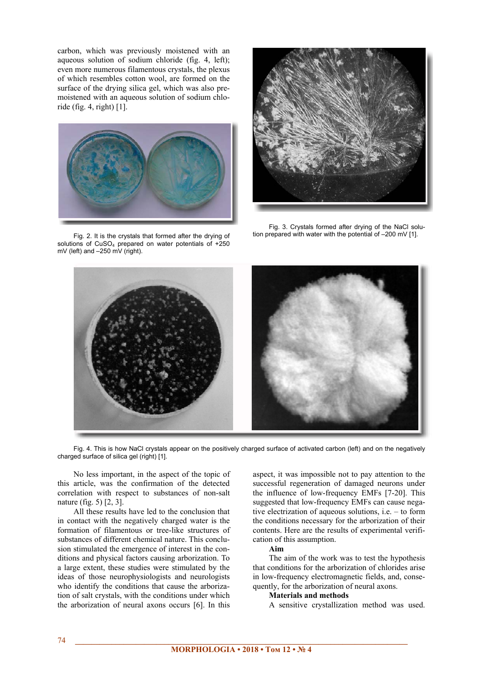carbon, which was previously moistened with an aqueous solution of sodium chloride (fig. 4, left); even more numerous filamentous crystals, the plexus of which resembles cotton wool, are formed on the surface of the drying silica gel, which was also premoistened with an aqueous solution of sodium chloride (fig. 4, right) [1].



Fig. 2. It is the crystals that formed after the drying of solutions of  $CuSO<sub>4</sub>$  prepared on water potentials of +250 mV (left) and –250 mV (right).



Fig. 3. Crystals formed after drying of the NaCl solution prepared with water with the potential of –200 mV [1].



Fig. 4. This is how NaCl crystals appear on the positively charged surface of activated carbon (left) and on the negatively charged surface of silica gel (right) [1].

No less important, in the aspect of the topic of this article, was the confirmation of the detected correlation with respect to substances of non-salt nature (fig. 5) [2, 3].

All these results have led to the conclusion that in contact with the negatively charged water is the formation of filamentous or tree-like structures of substances of different chemical nature. This conclusion stimulated the emergence of interest in the conditions and physical factors causing arborization. To a large extent, these studies were stimulated by the ideas of those neurophysiologists and neurologists who identify the conditions that cause the arborization of salt crystals, with the conditions under which the arborization of neural axons occurs [6]. In this aspect, it was impossible not to pay attention to the successful regeneration of damaged neurons under the influence of low-frequency EMFs [7-20]. This suggested that low-frequency EMFs can cause negative electrization of aqueous solutions, i.e. – to form the conditions necessary for the arborization of their contents. Here are the results of experimental verification of this assumption.

#### **Aim**

The aim of the work was to test the hypothesis that conditions for the arborization of chlorides arise in low-frequency electromagnetic fields, and, consequently, for the arborization of neural axons.

#### **Materials and methods**

A sensitive crystallization method was used.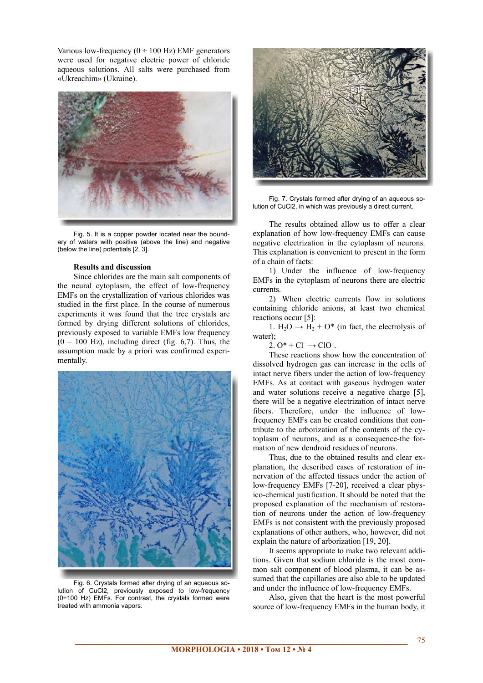Various low-frequency  $(0 \div 100 \text{ Hz})$  EMF generators were used for negative electric power of chloride aqueous solutions. All salts were purchased from «Ukreachim» (Ukraine).



Fig. 5. It is a copper powder located near the boundary of waters with positive (above the line) and negative (below the line) potentials [2, 3].

## **Results and discussion**

Since chlorides are the main salt components of the neural cytoplasm, the effect of low-frequency EMFs on the crystallization of various chlorides was studied in the first place. In the course of numerous experiments it was found that the tree crystals are formed by drying different solutions of chlorides, previously exposed to variable EMFs low frequency  $(0 - 100$  Hz), including direct (fig. 6,7). Thus, the assumption made by a priori was confirmed experimentally.



Fig. 6. Crystals formed after drying of an aqueous solution of CuCl2, previously exposed to low-frequency (0÷100 Hz) EMFs. For contrast, the crystals formed were treated with ammonia vapors.



Fig. 7. Crystals formed after drying of an aqueous solution of CuCl2, in which was previously a direct current.

The results obtained allow us to offer a clear explanation of how low-frequency EMFs can cause negative electrization in the cytoplasm of neurons. This explanation is convenient to present in the form of a chain of facts:

1) Under the influence of low-frequency EMFs in the cytoplasm of neurons there are electric currents.

2) When electric currents flow in solutions containing chloride anions, at least two chemical reactions occur [5]:

1. H<sub>2</sub>O  $\rightarrow$  H<sub>2</sub> + O\* (in fact, the electrolysis of water);

 $2. O^* + Cl^- \rightarrow ClO^-$ .

These reactions show how the concentration of dissolved hydrogen gas can increase in the cells of intact nerve fibers under the action of low-frequency EMFs. As at contact with gaseous hydrogen water and water solutions receive a negative charge [5], there will be a negative electrization of intact nerve fibers. Therefore, under the influence of lowfrequency EMFs can be created conditions that contribute to the arborization of the contents of the cytoplasm of neurons, and as a consequence-the formation of new dendroid residues of neurons.

Thus, due to the obtained results and clear explanation, the described cases of restoration of innervation of the affected tissues under the action of low-frequency EMFs [7-20], received a clear physico-chemical justification. It should be noted that the proposed explanation of the mechanism of restoration of neurons under the action of low-frequency EMFs is not consistent with the previously proposed explanations of other authors, who, however, did not explain the nature of arborization [19, 20].

It seems appropriate to make two relevant additions. Given that sodium chloride is the most common salt component of blood plasma, it can be assumed that the capillaries are also able to be updated and under the influence of low-frequency EMFs.

Also, given that the heart is the most powerful source of low-frequency EMFs in the human body, it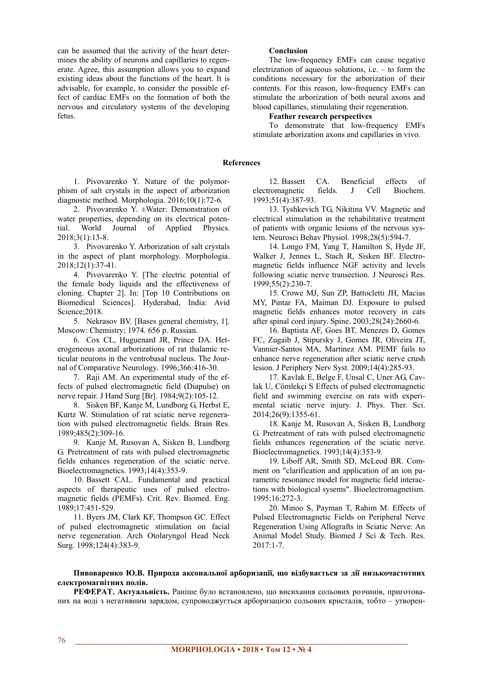can be assumed that the activity of the heart determines the ability of neurons and capillaries to regenerate. Agree, this assumption allows you to expand existing ideas about the functions of the heart. It is advisable, for example, to consider the possible effect of cardiac EMFs on the formation of both the nervous and circulatory systems of the developing fetus.

# **Conclusion**

The low-frequency EMFs can cause negative electrization of aqueous solutions, i.e. – to form the conditions necessary for the arborization of their contents. For this reason, low-frequency EMFs can stimulate the arborization of both neural axons and blood capillaries, stimulating their regeneration.

## **Feather research perspectives**

To demonstrate that low-frequency EMFs stimulate arborization axons and capillaries in vivo.

# **References**

1. Pivovarenko Y. Nature of the polymorphism of salt crystals in the aspect of arborization diagnostic method. Morphologia. 2016;10(1):72-6.

2. Pivovarenko Y. ±Water: Demonstration of water properties, depending on its electrical potential. World Journal of Applied Physics. 2018;3(1):13-8.

3. Pivovarenko Y. Arborization of salt crystals in the aspect of plant morphology. Morphologia. 2018;12(1):37-41.

4. Pivovarenko Y. [The electric potential of the female body liquids and the effectiveness of cloning. Chapter 2]. In: [Top 10 Contributions on Biomedical Sciences]. Hyderabad, India: Avid Science; 2018.

5. Nekrasov BV. [Bases general chemistry, 1]. Moscow: Chemistry; 1974. 656 p. Russian.

6. Cox CL, Huguenard JR, Prince DA. Heterogeneous axonal arborizations of rat thalamic reticular neurons in the ventrobasal nucleus. The Journal of Comparative Neurology. 1996;366:416-30.

7. Raji AM. An experimental study of the effects of pulsed electromagnetic field (Diapulse) on nerve repair. J Hand Surg [Br]. 1984;9(2):105-12.

8. Sisken BF, Kanje M, Lundborg G, Herbst E, Kurtz W. Stimulation of rat sciatic nerve regeneration with pulsed electromagnetic fields. Brain Res. 1989;485(2):309-16.

9. Kanje M, Rusovan A, Sisken B, Lundborg G. Pretreatment of rats with pulsed electromagnetic fields enhances regeneration of the sciatic nerve. Bioelectromagnetics. 1993;14(4):353-9.

10. Bassett CAL. Fundamental and practical aspects of therapeutic uses of pulsed electromagnetic fields (PEMFs). Crit. Rev. Biomed. Eng. 1989;17:451-529.

11. Byers JM, Clark KF, Thompson GC. Effect of pulsed electromagnetic stimulation on facial nerve regeneration. Arch Otolaryngol Head Neck Surg. 1998;124(4):383-9.

12. Bassett CA. Beneficial effects of electromagnetic fields. J Cell Biochem. 1993;51(4):387-93.

13. Tyshkevich TG, Nikitina VV. Magnetic and electrical stimulation in the rehabilitative treatment of patients with organic lesions of the nervous system. Neurosci Behav Physiol. 1998;28(5):594-7.

14. Longo FM, Yang T, Hamilton S, Hyde JF, Walker J, Jennes L, Stach R, Sisken BF. Electromagnetic fields influence NGF activity and levels following sciatic nerve transection. J Neurosci Res. 1999;55(2):230-7.

15. Crowe MJ, Sun ZP, Battocletti JH, Macias MY, Pintar FA, Maiman DJ. Exposure to pulsed magnetic fields enhances motor recovery in cats after spinal cord injury. Spine. 2003;28(24):2660-6.

16. Baptista AF, Goes BT, Menezes D, Gomes FC, Zugaib J, Stipursky J, Gomes JR, Oliveira JT, Vannier-Santos MA, Martinez AM. PEMF fails to enhance nerve regeneration after sciatic nerve crush lesion. J Periphery Nerv Syst. 2009;14(4):285-93.

17. Kavlak E, Belge F, Unsal C, Uner AG, Cavlak U, Cömlekçi S Effects of pulsed electromagnetic field and swimming exercise on rats with experimental sciatic nerve injury. J. Phys. Ther. Sci. 2014;26(9):1355-61.

18. Kanje M, Rusovan A, Sisken B, Lundborg G. Pretreatment of rats with pulsed electromagnetic fields enhances regeneration of the sciatic nerve. Bioelectromagnetics. 1993;14(4):353-9.

19. Liboff AR, Smith SD, McLeod BR. Comment on "clarification and application of an ion parametric resonance model for magnetic field interactions with biological sysems". Bioelectromagnetism. 1995;16:272-3.

20. Minoo S, Payman T, Rahim M. Effects of Pulsed Electromagnetic Fields on Peripheral Nerve Regeneration Using Allografts in Sciatic Nerve: An Animal Model Study. Biomed J Sci & Tech. Res. 2017:1-7.

# **Пивоваренко Ю.В. Природа аксональної арборизації, що відбувається за дії низькочастотних електромагнітних полів.**

**РЕФЕРАТ. Актуальність.** Раніше було встановлено, що висихання сольових розчинів, приготованих на воді з негативним зарядом, супроводжується арборизацією сольових кристалів, тобто – утворен